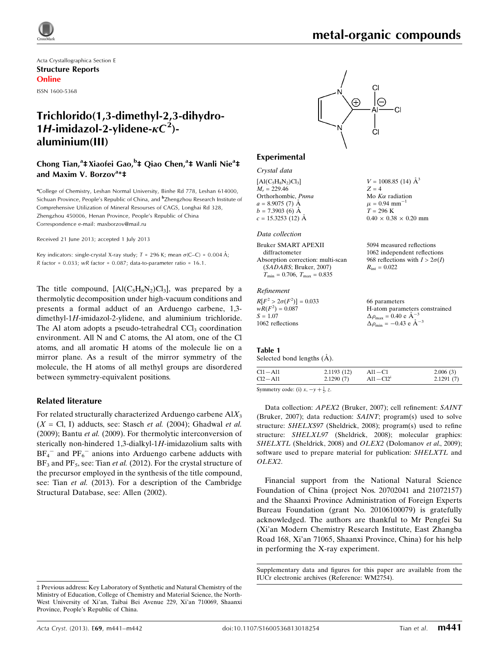$V = 1008.85$  (14)  $\AA^3$ 

 $0.40 \times 0.38 \times 0.20$  mm

 $Z = 4$ Mo  $K\alpha$  radiation  $\mu = 0.94$  mm<sup>-1</sup>  $T = 296 \text{ K}$ 

Acta Crystallographica Section E Structure Reports Online ISSN 1600-5368

## Trichlorido(1,3-dimethyl-2,3-dihydro-1H-imidazol-2-ylidene- $\kappa C^2$ )aluminium(III)

Chong Tian,<sup>a</sup>‡Xiaofei Gao,<sup>b</sup>‡ Qiao Chen,<sup>a</sup>‡ Wanli Nie<sup>a</sup>‡ and Maxim V. Borzov<sup>a</sup>\*‡

<sup>a</sup>College of Chemistry, Leshan Normal University, Binhe Rd 778, Leshan 614000, Sichuan Province, People's Republic of China, and <sup>b</sup>Zhengzhou Research Institute of Comprehensive Utilization of Mineral Resourses of CAGS, Longhai Rd 328, Zhengzhou 450006, Henan Province, People's Republic of China Correspondence e-mail: [maxborzov@mail.ru](https://scripts.iucr.org/cgi-bin/cr.cgi?rm=pdfbb&cnor=wm2754&bbid=BB9)

Received 21 June 2013; accepted 1 July 2013

Key indicators: single-crystal X-ray study;  $T = 296$  K; mean  $\sigma$ (C–C) = 0.004 Å; R factor =  $0.033$ ; wR factor =  $0.087$ ; data-to-parameter ratio =  $16.1$ .

The title compound,  $[A(C_5H_8N_2)C_1]$ , was prepared by a thermolytic decomposition under high-vacuum conditions and presents a formal adduct of an Arduengo carbene, 1,3 dimethyl-1H-imidazol-2-ylidene, and aluminium trichloride. The Al atom adopts a pseudo-tetrahedral  $\text{CCI}_3$  coordination environment. All N and C atoms, the Al atom, one of the Cl atoms, and all aromatic H atoms of the molecule lie on a mirror plane. As a result of the mirror symmetry of the molecule, the H atoms of all methyl groups are disordered between symmetry-equivalent positions.

#### Related literature

For related structurally characterized Arduengo carbene  $AIX_3$  $(X = \text{Cl}, I)$  adducts, see: Stasch et al. (2004); Ghadwal et al. (2009); Bantu et al. (2009). For thermolytic interconversion of sterically non-hindered  $1,3$ -dialkyl-1H-imidazolium salts with  $BF_4$ <sup>-</sup> and  $PF_6$ <sup>-</sup> anions into Arduengo carbene adducts with  $BF_3$  and  $PF_5$ , see: Tian *et al.* (2012). For the crystal structure of the precursor employed in the synthesis of the title compound, see: Tian et al. (2013). For a description of the Cambridge Structural Database, see: Allen (2002).



#### Experimental

| Crystal data |  |
|--------------|--|
|--------------|--|

 $[A(C_5H_8N_2)Cl_3]$  $M_r = 229.46$ Orthorhombic, Pnma  $a = 8.9075(7)$  Å  $b - 7.3903(6)$   $\AA$  $c = 15.3253(12)$  Å

#### Data collection

| 5094 measured reflections             |
|---------------------------------------|
| 1062 independent reflections          |
| 968 reflections with $I > 2\sigma(I)$ |
| $R_{\rm int} = 0.022$                 |
|                                       |
|                                       |
|                                       |

 $R[F^2 > 2\sigma(F^2)] = 0.033$  $wR(F^2) = 0.087$  $S = 1.07$ 1062 reflections 66 parameters H-atom parameters constrained  $\Delta \rho_{\text{max}} = 0.40 \text{ e A}^{-}$ 3  $\Delta \rho_{\rm min} = -0.43 \text{ e } \text{\AA}^{-3}$ 

#### Table 1

Selected bond lengths  $(A)$ .

 $Cl1 - Al1$  2.1193 (12)  $Cl2 - Al1$  2.1290 (7)  $Al1 - C1$  2.006 (3)  $Al1 - Cl2<sup>i</sup>$  2.1291 (7)

Symmetry code: (i)  $x, -y + \frac{1}{2}, z$ .

Data collection: APEX2 (Bruker, 2007); cell refinement: SAINT (Bruker, 2007); data reduction: SAINT; program(s) used to solve structure: SHELXS97 (Sheldrick, 2008); program(s) used to refine structure: SHELXL97 (Sheldrick, 2008); molecular graphics: SHELXTL (Sheldrick, 2008) and OLEX2 (Dolomanov et al., 2009); software used to prepare material for publication: SHELXTL and OLEX2.

Financial support from the National Natural Science Foundation of China (project Nos. 20702041 and 21072157) and the Shaanxi Province Administration of Foreign Experts Bureau Foundation (grant No. 20106100079) is gratefully acknowledged. The authors are thankful to Mr Pengfei Su (Xi'an Modern Chemistry Research Institute, East Zhangba Road 168, Xi'an 71065, Shaanxi Province, China) for his help in performing the X-ray experiment.

Supplementary data and figures for this paper are available from the IUCr electronic archives (Reference: WM2754).

<sup>‡</sup> Previous address: Key Laboratory of Synthetic and Natural Chemistry of the Ministry of Education, College of Chemistry and Material Science, the North-West University of Xi'an, Taibai Bei Avenue 229, Xi'an 710069, Shaanxi Province, People's Republic of China.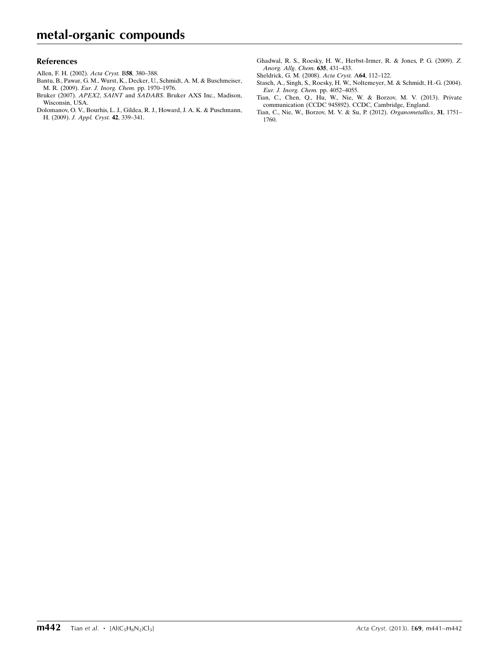#### References

- [Allen, F. H. \(2002\).](https://scripts.iucr.org/cgi-bin/cr.cgi?rm=pdfbb&cnor=wm2754&bbid=BB1) Acta Cryst. B58, 380–388.
- [Bantu, B., Pawar, G. M., Wurst, K., Decker, U., Schmidt, A. M. & Buschmeiser,](https://scripts.iucr.org/cgi-bin/cr.cgi?rm=pdfbb&cnor=wm2754&bbid=BB2) M. R. (2009). [Eur. J. Inorg. Chem.](https://scripts.iucr.org/cgi-bin/cr.cgi?rm=pdfbb&cnor=wm2754&bbid=BB2) pp. 1970–1976.
- Bruker (2007). APEX2, SAINT and SADABS[. Bruker AXS Inc., Madison,](https://scripts.iucr.org/cgi-bin/cr.cgi?rm=pdfbb&cnor=wm2754&bbid=BB3) [Wisconsin, USA.](https://scripts.iucr.org/cgi-bin/cr.cgi?rm=pdfbb&cnor=wm2754&bbid=BB3)
- [Dolomanov, O. V., Bourhis, L. J., Gildea, R. J., Howard, J. A. K. & Puschmann,](https://scripts.iucr.org/cgi-bin/cr.cgi?rm=pdfbb&cnor=wm2754&bbid=BB4) H. (2009). [J. Appl. Cryst.](https://scripts.iucr.org/cgi-bin/cr.cgi?rm=pdfbb&cnor=wm2754&bbid=BB4) 42, 339–341.
- [Ghadwal, R. S., Roesky, H. W., Herbst-Irmer, R. & Jones, P. G. \(2009\).](https://scripts.iucr.org/cgi-bin/cr.cgi?rm=pdfbb&cnor=wm2754&bbid=BB5) Z. [Anorg. Allg. Chem.](https://scripts.iucr.org/cgi-bin/cr.cgi?rm=pdfbb&cnor=wm2754&bbid=BB5) 635, 431–433.
- [Sheldrick, G. M. \(2008\).](https://scripts.iucr.org/cgi-bin/cr.cgi?rm=pdfbb&cnor=wm2754&bbid=BB6) Acta Cryst. A64, 112–122.
- [Stasch, A., Singh, S., Roesky, H. W., Noltemeyer, M. & Schmidt, H.-G. \(2004\).](https://scripts.iucr.org/cgi-bin/cr.cgi?rm=pdfbb&cnor=wm2754&bbid=BB7) [Eur. J. Inorg. Chem.](https://scripts.iucr.org/cgi-bin/cr.cgi?rm=pdfbb&cnor=wm2754&bbid=BB7) pp. 4052–4055.
- [Tian, C., Chen, Q., Hu, W., Nie, W. & Borzov, M. V. \(2013\). Private](https://scripts.iucr.org/cgi-bin/cr.cgi?rm=pdfbb&cnor=wm2754&bbid=BB8) [communication \(CCDC 945892\). CCDC, Cambridge, England.](https://scripts.iucr.org/cgi-bin/cr.cgi?rm=pdfbb&cnor=wm2754&bbid=BB8)
- [Tian, C., Nie, W., Borzov, M. V. & Su, P. \(2012\).](https://scripts.iucr.org/cgi-bin/cr.cgi?rm=pdfbb&cnor=wm2754&bbid=BB9) Organometallics, 31, 1751– [1760.](https://scripts.iucr.org/cgi-bin/cr.cgi?rm=pdfbb&cnor=wm2754&bbid=BB9)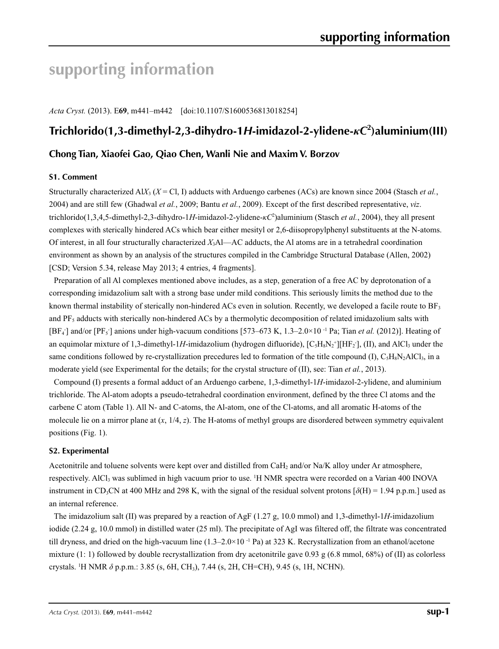# **supporting information**

*Acta Cryst.* (2013). E**69**, m441–m442 [doi:10.1107/S1600536813018254]

## **Trichlorido(1,3-dimethyl-2,3-dihydro-1***H***-imidazol-2-ylidene-***κC***<sup>2</sup> )aluminium(III)**

### **Chong Tian, Xiaofei Gao, Qiao Chen, Wanli Nie and Maxim V. Borzov**

#### **S1. Comment**

Structurally characterized Al*X*<sub>3</sub> ( $X = Cl$ , I) adducts with Arduengo carbenes (ACs) are known since 2004 (Stasch *et al.*, 2004) and are still few (Ghadwal *et al.*, 2009; Bantu *et al.*, 2009). Except of the first described representative, *viz*. trichlorido(1,3,4,5-dimethyl-2,3-dihydro-1*H*-imidazol-2-ylidene-*κC*<sup>2</sup> )aluminium (Stasch *et al.*, 2004), they all present complexes with sterically hindered ACs which bear either mesityl or 2,6-diisopropylphenyl substituents at the N-atoms. Of interest, in all four structurally characterized *X*3Al—AC adducts, the Al atoms are in a tetrahedral coordination environment as shown by an analysis of the structures compiled in the Cambridge Structural Database (Allen, 2002) [CSD; Version 5.34, release May 2013; 4 entries, 4 fragments].

Preparation of all Al complexes mentioned above includes, as a step, generation of a free AC by deprotonation of a corresponding imidazolium salt with a strong base under mild conditions. This seriously limits the method due to the known thermal instability of sterically non-hindered ACs even in solution. Recently, we developed a facile route to  $BF_3$ and PF<sub>5</sub> adducts with sterically non-hindered ACs by a thermolytic decomposition of related imidazolium salts with [BF<sub>4</sub>] and/or [PF<sub>5</sub>] anions under high-vacuum conditions [573–673 K, 1.3–2.0×10<sup>-1</sup> Pa; Tian *et al.* (2012)]. Heating of an equimolar mixture of 1,3-dimethyl-1H-imidazolium (hydrogen difluoride),  $[C_5H_8N_2^+][HF_2]$ , (II), and AlCl<sub>3</sub> under the same conditions followed by re-crystallization precedures led to formation of the title compound (I),  $C_5H_8N_2AICl_3$ , in a moderate yield (see Experimental for the details; for the crystal structure of (II), see: Tian *et al.*, 2013).

Compound (I) presents a formal adduct of an Arduengo carbene, 1,3-dimethyl-1*H*-imidazol-2-ylidene, and aluminium trichloride. The Al-atom adopts a pseudo-tetrahedral coordination environment, defined by the three Cl atoms and the carbene C atom (Table 1). All N- and C-atoms, the Al-atom, one of the Cl-atoms, and all aromatic H-atoms of the molecule lie on a mirror plane at (*x*, 1/4, *z*). The H-atoms of methyl groups are disordered between symmetry equivalent positions (Fig. 1).

#### **S2. Experimental**

Acetonitrile and toluene solvents were kept over and distilled from CaH2 and/or Na/K alloy under Ar atmosphere, respectively. AlCl<sub>3</sub> was sublimed in high vacuum prior to use. <sup>1</sup>H NMR spectra were recorded on a Varian 400 INOVA instrument in CD<sub>3</sub>CN at 400 MHz and 298 K, with the signal of the residual solvent protons  $[\delta(H) = 1.94$  p.p.m.] used as an internal reference.

The imidazolium salt (II) was prepared by a reaction of AgF (1.27 g, 10.0 mmol) and 1,3-dimethyl-1*H*-imidazolium iodide (2.24 g, 10.0 mmol) in distilled water (25 ml). The precipitate of AgI was filtered off, the filtrate was concentrated till dryness, and dried on the high-vacuum line  $(1.3-2.0\times10^{-1}$  Pa) at 323 K. Recrystallization from an ethanol/acetone mixture (1: 1) followed by double recrystallization from dry acetonitrile gave 0.93 g  $(6.8 \text{ mmol}, 68%)$  of (II) as colorless crystals. 1 H NMR *δ* p.p.m.: 3.85 (s, 6H, CH3), 7.44 (s, 2H, CH=CH), 9.45 (s, 1H, NCHN).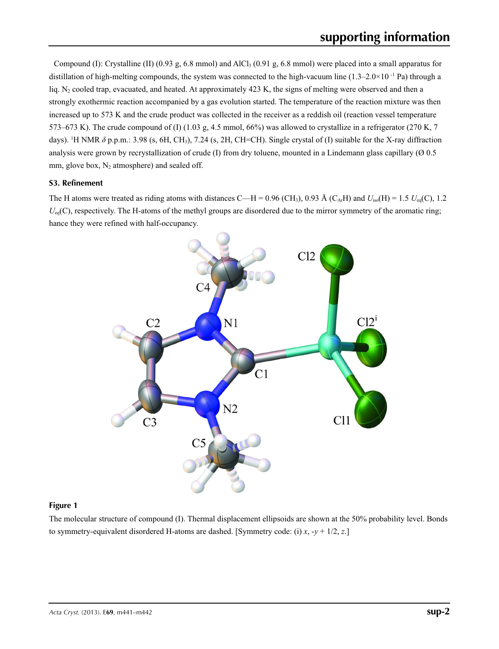Compound (I): Crystalline (II) (0.93 g, 6.8 mmol) and AlCl<sub>3</sub> (0.91 g, 6.8 mmol) were placed into a small apparatus for distillation of high-melting compounds, the system was connected to the high-vacuum line  $(1.3-2.0\times10^{-1}$  Pa) through a liq. N<sub>2</sub> cooled trap, evacuated, and heated. At approximately  $423$  K, the signs of melting were observed and then a strongly exothermic reaction accompanied by a gas evolution started. The temperature of the reaction mixture was then increased up to 573 K and the crude product was collected in the receiver as a reddish oil (reaction vessel temperature 573–673 K). The crude compound of (I)  $(1.03 \text{ g}, 4.5 \text{ mmol}, 66\%)$  was allowed to crystallize in a refrigerator (270 K, 7) days). <sup>1</sup>H NMR δ p.p.m.: 3.98 (s, 6H, CH<sub>3</sub>), 7.24 (s, 2H, CH=CH). Single crystal of (I) suitable for the X-ray diffraction analysis were grown by recrystallization of crude (I) from dry toluene, mounted in a Lindemann glass capillary  $(0, 0.5)$ mm, glove box,  $N_2$  atmosphere) and sealed off.

#### **S3. Refinement**

The H atoms were treated as riding atoms with distances C—H = 0.96 (CH<sub>3</sub>), 0.93 Å (C<sub>Ar</sub>H) and  $U_{iso}(H) = 1.5$   $U_{eq}(C)$ , 1.2  $U_{eq}(C)$ , respectively. The H-atoms of the methyl groups are disordered due to the mirror symmetry of the aromatic ring; hance they were refined with half-occupancy.



#### **Figure 1**

The molecular structure of compound (I). Thermal displacement ellipsoids are shown at the 50% probability level. Bonds to symmetry-equivalent disordered H-atoms are dashed. [Symmetry code: (i) *x*, -*y* + 1/2, *z*.]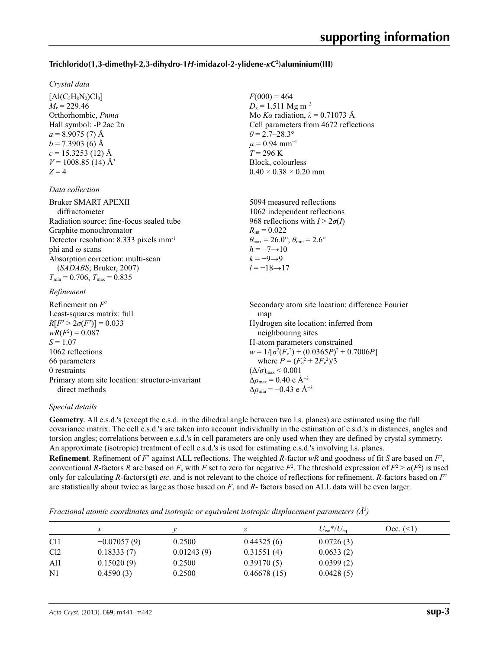#### **Trichlorido(1,3-dimethyl-2,3-dihydro-1***H***-imidazol-2-ylidene-***κC***<sup>2</sup> )aluminium(III)**

#### *Crystal data*

 $[A(C<sub>5</sub>H<sub>8</sub>N<sub>2</sub>)Cl<sub>3</sub>]$  $M_r = 229.46$ Orthorhombic, *Pnma* Hall symbol: -P 2ac 2n  $a = 8.9075(7)$  Å  $b = 7.3903$  (6) Å  $c = 15.3253(12)$  Å  $V = 1008.85$  (14) Å<sup>3</sup>  $Z = 4$ 

#### *Data collection*

| <b>Bruker SMART APEXII</b>                         | 5094 measured reflections                                               |
|----------------------------------------------------|-------------------------------------------------------------------------|
| diffractometer                                     | 1062 independent reflections                                            |
| Radiation source: fine-focus sealed tube           | 968 reflections with $I > 2\sigma(I)$                                   |
| Graphite monochromator                             | $R_{\text{int}} = 0.022$                                                |
| Detector resolution: 8.333 pixels mm <sup>-1</sup> | $\theta_{\text{max}} = 26.0^{\circ}, \theta_{\text{min}} = 2.6^{\circ}$ |
| phi and $\omega$ scans                             | $h = -7 \rightarrow 10$                                                 |
| Absorption correction: multi-scan                  | $k=-9 \rightarrow 9$                                                    |
| (SADABS; Bruker, 2007)                             | $l = -18 \rightarrow 17$                                                |
| $T_{\min}$ = 0.706, $T_{\max}$ = 0.835             |                                                                         |
|                                                    |                                                                         |

 $F(000) = 464$  $D_x = 1.511$  Mg m<sup>-3</sup>

 $\theta = 2.7 - 28.3^{\circ}$  $\mu$  = 0.94 mm<sup>-1</sup>  $T = 296 \text{ K}$ Block, colourless  $0.40 \times 0.38 \times 0.20$  mm

Mo *Kα* radiation, *λ* = 0.71073 Å Cell parameters from 4672 reflections

#### *Refinement*

| Refinement on $F^2$                             | Secondary atom site location: difference Fourier   |
|-------------------------------------------------|----------------------------------------------------|
| Least-squares matrix: full                      | map                                                |
| $R[F^2 > 2\sigma(F^2)] = 0.033$                 | Hydrogen site location: inferred from              |
| $wR(F^2) = 0.087$                               | neighbouring sites                                 |
| $S = 1.07$                                      | H-atom parameters constrained                      |
| 1062 reflections                                | $w = 1/[\sigma^2(F_0^2) + (0.0365P)^2 + 0.7006P]$  |
| 66 parameters                                   | where $P = (F_o^2 + 2F_c^2)/3$                     |
| 0 restraints                                    | $(\Delta/\sigma)_{\text{max}}$ < 0.001             |
| Primary atom site location: structure-invariant | $\Delta\rho_{\text{max}} = 0.40$ e Å <sup>-3</sup> |
| direct methods                                  | $\Delta\rho_{\rm min} = -0.43$ e Å <sup>-3</sup>   |

#### *Special details*

**Geometry**. All e.s.d.'s (except the e.s.d. in the dihedral angle between two l.s. planes) are estimated using the full covariance matrix. The cell e.s.d.'s are taken into account individually in the estimation of e.s.d.'s in distances, angles and torsion angles; correlations between e.s.d.'s in cell parameters are only used when they are defined by crystal symmetry. An approximate (isotropic) treatment of cell e.s.d.'s is used for estimating e.s.d.'s involving l.s. planes.

**Refinement**. Refinement of  $F^2$  against ALL reflections. The weighted  $R$ -factor  $wR$  and goodness of fit  $S$  are based on  $F^2$ , conventional *R*-factors *R* are based on *F*, with *F* set to zero for negative  $F^2$ . The threshold expression of  $F^2 > \sigma(F^2)$  is used only for calculating *R*-factors(gt) *etc*. and is not relevant to the choice of reflections for refinement. *R*-factors based on *F*<sup>2</sup> are statistically about twice as large as those based on *F*, and *R*- factors based on ALL data will be even larger.

*Fractional atomic coordinates and isotropic or equivalent isotropic displacement parameters (Å<sup>2</sup>)* 

|                 |               |            | ↵           | $U_{\rm iso}*/U_{\rm eq}$ | Occ. (2) |
|-----------------|---------------|------------|-------------|---------------------------|----------|
| C <sub>11</sub> | $-0.07057(9)$ | 0.2500     | 0.44325(6)  | 0.0726(3)                 |          |
| Cl <sub>2</sub> | 0.18333(7)    | 0.01243(9) | 0.31551(4)  | 0.0633(2)                 |          |
| Al1             | 0.15020(9)    | 0.2500     | 0.39170(5)  | 0.0399(2)                 |          |
| N <sub>1</sub>  | 0.4590(3)     | 0.2500     | 0.46678(15) | 0.0428(5)                 |          |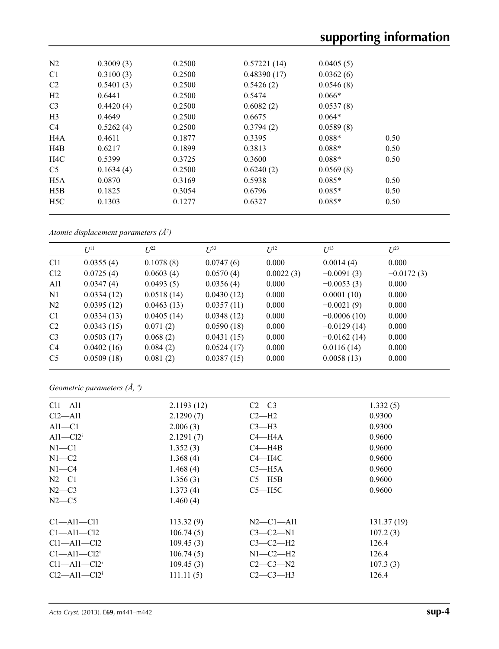| N <sub>2</sub>   | 0.3009(3) | 0.2500 | 0.57221(14) | 0.0405(5) |      |  |
|------------------|-----------|--------|-------------|-----------|------|--|
| C <sub>1</sub>   | 0.3100(3) | 0.2500 | 0.48390(17) | 0.0362(6) |      |  |
| C <sub>2</sub>   | 0.5401(3) | 0.2500 | 0.5426(2)   | 0.0546(8) |      |  |
| H2               | 0.6441    | 0.2500 | 0.5474      | $0.066*$  |      |  |
| C <sub>3</sub>   | 0.4420(4) | 0.2500 | 0.6082(2)   | 0.0537(8) |      |  |
| H <sub>3</sub>   | 0.4649    | 0.2500 | 0.6675      | $0.064*$  |      |  |
| C <sub>4</sub>   | 0.5262(4) | 0.2500 | 0.3794(2)   | 0.0589(8) |      |  |
| H <sub>4</sub> A | 0.4611    | 0.1877 | 0.3395      | $0.088*$  | 0.50 |  |
| H4B              | 0.6217    | 0.1899 | 0.3813      | $0.088*$  | 0.50 |  |
| H <sub>4</sub> C | 0.5399    | 0.3725 | 0.3600      | $0.088*$  | 0.50 |  |
| C <sub>5</sub>   | 0.1634(4) | 0.2500 | 0.6240(2)   | 0.0569(8) |      |  |
| H <sub>5</sub> A | 0.0870    | 0.3169 | 0.5938      | $0.085*$  | 0.50 |  |
| H5B              | 0.1825    | 0.3054 | 0.6796      | $0.085*$  | 0.50 |  |
| H5C              | 0.1303    | 0.1277 | 0.6327      | $0.085*$  | 0.50 |  |
|                  |           |        |             |           |      |  |

*Atomic displacement parameters (Å2 )*

|                 | $U^{11}$   | $L^{22}$   | $\mathcal{L}^{\beta 3}$ | $U^{12}$  | $U^{13}$      | $L^{23}$     |
|-----------------|------------|------------|-------------------------|-----------|---------------|--------------|
| C <sub>11</sub> | 0.0355(4)  | 0.1078(8)  | 0.0747(6)               | 0.000     | 0.0014(4)     | 0.000        |
| Cl <sub>2</sub> | 0.0725(4)  | 0.0603(4)  | 0.0570(4)               | 0.0022(3) | $-0.0091(3)$  | $-0.0172(3)$ |
| Al1             | 0.0347(4)  | 0.0493(5)  | 0.0356(4)               | 0.000     | $-0.0053(3)$  | 0.000        |
| N <sub>1</sub>  | 0.0334(12) | 0.0518(14) | 0.0430(12)              | 0.000     | 0.0001(10)    | 0.000        |
| N <sub>2</sub>  | 0.0395(12) | 0.0463(13) | 0.0357(11)              | 0.000     | $-0.0021(9)$  | 0.000        |
| C <sub>1</sub>  | 0.0334(13) | 0.0405(14) | 0.0348(12)              | 0.000     | $-0.0006(10)$ | 0.000        |
| C <sub>2</sub>  | 0.0343(15) | 0.071(2)   | 0.0590(18)              | 0.000     | $-0.0129(14)$ | 0.000        |
| C <sub>3</sub>  | 0.0503(17) | 0.068(2)   | 0.0431(15)              | 0.000     | $-0.0162(14)$ | 0.000        |
| C <sub>4</sub>  | 0.0402(16) | 0.084(2)   | 0.0524(17)              | 0.000     | 0.0116(14)    | 0.000        |
| C <sub>5</sub>  | 0.0509(18) | 0.081(2)   | 0.0387(15)              | 0.000     | 0.0058(13)    | 0.000        |

*Geometric parameters (Å, º)*

| $Cl1 - Al1$                    | 2.1193(12) | $C2-C3$          | 1.332(5)    |
|--------------------------------|------------|------------------|-------------|
| $Cl2 - Al1$                    | 2.1290(7)  | $C2-H2$          | 0.9300      |
| $Al1-C1$                       | 2.006(3)   | $C3-H3$          | 0.9300      |
| $Al1-Cl2i$                     | 2.1291(7)  | $C4 - H4A$       | 0.9600      |
| $N1 - C1$                      | 1.352(3)   | $C4 - H4B$       | 0.9600      |
| $N1-C2$                        | 1.368(4)   | $C4 - H4C$       | 0.9600      |
| $N1 - C4$                      | 1.468(4)   | $C5 - H5A$       | 0.9600      |
| $N2-C1$                        | 1.356(3)   | $C5 - H5B$       | 0.9600      |
| $N2-C3$                        | 1.373(4)   | $C5 - H5C$       | 0.9600      |
| $N2-C5$                        | 1.460(4)   |                  |             |
| $C1 - A11 - C11$               | 113.32(9)  | $N2$ — $C1$ —All | 131.37 (19) |
| $C1 - A11 - C12$               | 106.74(5)  | $C3-C2-N1$       | 107.2(3)    |
| $Cl1 - Al1 - Cl2$              | 109.45(3)  | $C3-C2-H2$       | 126.4       |
| $C1 - A11 - C12$               | 106.74(5)  | $N1-C2-H2$       | 126.4       |
| $Cl1 - Al1 - Cl2$ <sup>i</sup> | 109.45(3)  | $C2-C3-N2$       | 107.3(3)    |
| $Cl2 - Al1 - Cl2$ <sup>i</sup> | 111.11(5)  | $C2-C3-H3$       | 126.4       |
|                                |            |                  |             |